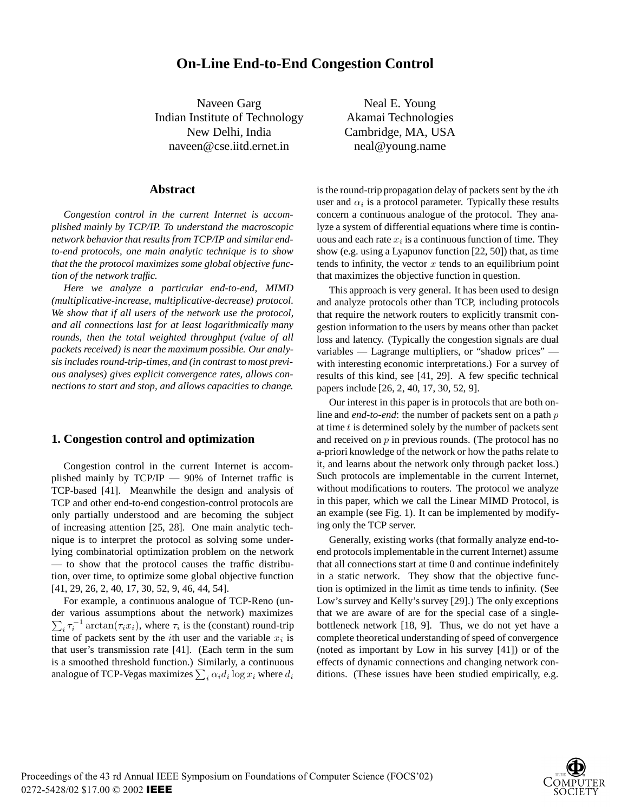# **On-Line End-to-End Congestion Control**

Naveen Garg Indian Institute of Technology New Delhi, India naveen@cse.iitd.ernet.in

Neal E. Young Akamai Technologies Cambridge, MA, USA neal@young.name

#### **Abstract**

*Congestion control in the current Internet is accomplished mainly by TCP/IP. To understand the macroscopic network behavior that results from TCP/IP and similar endto-end protocols, one main analytic technique is to show that the the protocol maximizes some global objective function of the network traffic.*

*Here we analyze a particular end-to-end, MIMD (multiplicative-increase, multiplicative-decrease) protocol. We show that if all users of the network use the protocol, and all connections last for at least logarithmically many rounds, then the total weighted throughput (value of all packets received) is near the maximum possible. Our analysis includes round-trip-times, and (in contrast to most previous analyses) gives explicit convergence rates, allows connections to start and stop, and allows capacities to change.*

### **1. Congestion control and optimization**

Congestion control in the current Internet is accomplished mainly by TCP/IP — 90% of Internet traffic is TCP-based [41]. Meanwhile the design and analysis of TCP and other end-to-end congestion-control protocols are only partially understood and are becoming the subject of increasing attention [25, 28]. One main analytic technique is to interpret the protocol as solving some underlying combinatorial optimization problem on the network — to show that the protocol causes the traffic distribution, over time, to optimize some global objective function [41, 29, 26, 2, 40, 17, 30, 52, 9, 46, 44, 54].

For example, a continuous analogue of TCP-Reno (under various assumptions about the network) maximizes  $\sum_i \tau_i^{-1} \arctan(\tau_i x_i)$ , where  $\tau_i$  is the (constant) round-trip time of packets sent by the *i*th user and the variable  $x_i$  is that user's transmission rate [41]. (Each term in the sum is a smoothed threshold function.) Similarly, a continuous analogue of TCP-Vegas maximizes  $\sum_i \alpha_i d_i \log x_i$  where  $d_i$ 

is the round-trip propagation delay of packets sent by the  $i$ th user and  $\alpha_i$  is a protocol parameter. Typically these results concern a continuous analogue of the protocol. They analyze a system of differential equations where time is continuous and each rate  $x_i$  is a continuous function of time. They show (e.g. using a Lyapunov function [22, 50]) that, as time tends to infinity, the vector  $x$  tends to an equilibrium point that maximizes the objective function in question.

This approach is very general. It has been used to design and analyze protocols other than TCP, including protocols that require the network routers to explicitly transmit congestion information to the users by means other than packet loss and latency. (Typically the congestion signals are dual variables — Lagrange multipliers, or "shadow prices" with interesting economic interpretations.) For a survey of results of this kind, see [41, 29]. A few specific technical papers include [26, 2, 40, 17, 30, 52, 9].

Our interest in this paper is in protocols that are both online and *end-to-end*: the number of packets sent on a path p at time  $t$  is determined solely by the number of packets sent and received on  $p$  in previous rounds. (The protocol has no a-priori knowledge of the network or how the paths relate to it, and learns about the network only through packet loss.) Such protocols are implementable in the current Internet, without modifications to routers. The protocol we analyze in this paper, which we call the Linear MIMD Protocol, is an example (see Fig. 1). It can be implemented by modifying only the TCP server.

Generally, existing works (that formally analyze end-toend protocols implementable in the current Internet) assume that all connections start at time 0 and continue indefinitely in a static network. They show that the objective function is optimized in the limit as time tends to infinity. (See Low's survey and Kelly's survey [29].) The only exceptions that we are aware of are for the special case of a singlebottleneck network [18, 9]. Thus, we do not yet have a complete theoretical understanding of speed of convergence (noted as important by Low in his survey [41]) or of the effects of dynamic connections and changing network conditions. (These issues have been studied empirically, e.g.

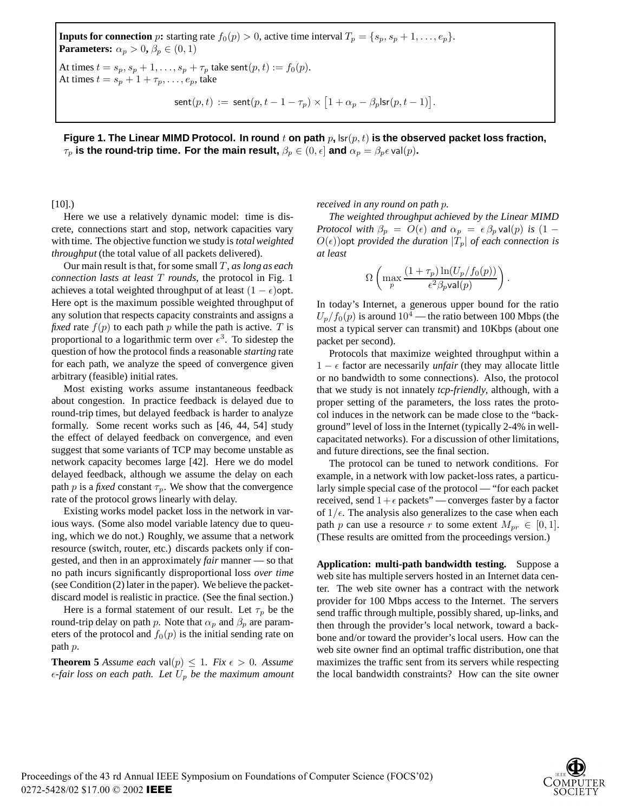**Inputs for connection** p: starting rate  $f_0(p) > 0$ , active time interval  $T_p = \{s_p, s_p + 1, \ldots, e_p\}$ . **Parameters:**  $\alpha_p > 0$ ,  $\beta_p \in (0, 1)$ 

At times  $t = s_p, s_p + 1, \ldots, s_p + \tau_p$  take sent $(p, t) := f_0(p)$ . At times  $t = s_p + 1 + \tau_p, \ldots, e_p$ , take

 $\mathsf{sent}(p,t) \,:=\, \mathsf{sent}(p,t-1-\tau_p) \times \bigl[ 1+\alpha_p - \beta_p \mathsf{lsr}(p,t-1) \bigr].$ 

**Figure 1. The Linear MIMD Protocol. In round** t on path  $p$ ,  $\text{lsr}(p, t)$  is the observed packet loss fraction,  $\tau_p$  is the round-trip time. For the main result,  $\beta_p \in (0, \epsilon]$  and  $\alpha_p = \beta_p \epsilon$  val(p).

#### $[10]$ .)

Here we use a relatively dynamic model: time is discrete, connections start and stop, network capacities vary with time. The objective function we study is *total weighted throughput* (the total value of all packets delivered).

Our main result is that, for some small T, *as long as each connection lasts at least* T *rounds*, the protocol in Fig. 1 achieves a total weighted throughput of at least  $(1 - \epsilon)$ opt. Here opt is the maximum possible weighted throughput of any solution that respects capacity constraints and assigns a *fixed* rate  $f(p)$  to each path p while the path is active. T is proportional to a logarithmic term over  $\epsilon^3$ . To sidestep the question of how the protocol finds a reasonable *starting* rate for each path, we analyze the speed of convergence given arbitrary (feasible) initial rates.

Most existing works assume instantaneous feedback about congestion. In practice feedback is delayed due to round-trip times, but delayed feedback is harder to analyze formally. Some recent works such as [46, 44, 54] study the effect of delayed feedback on convergence, and even suggest that some variants of TCP may become unstable as network capacity becomes large [42]. Here we do model delayed feedback, although we assume the delay on each path p is a *fixed* constant  $\tau_p$ . We show that the convergence rate of the protocol grows linearly with delay.

Existing works model packet loss in the network in various ways. (Some also model variable latency due to queuing, which we do not.) Roughly, we assume that a network resource (switch, router, etc.) discards packets only if congested, and then in an approximately *fair* manner — so that no path incurs significantly disproportional loss *over time* (see Condition(2) later in the paper). We believe the packetdiscard model is realistic in practice. (See the final section.)

Here is a formal statement of our result. Let  $\tau_p$  be the round-trip delay on path p. Note that  $\alpha_p$  and  $\beta_p$  are parameters of the protocol and  $f_0(p)$  is the initial sending rate on path p.

**Theorem 5** *Assume each* val $(p) \leq 1$ *. Fix*  $\epsilon > 0$ *. Assume*  $\epsilon$ -fair loss on each path. Let  $U_p$  be the maximum amount *received in any round on path* p*.*

*The weighted throughput achieved by the Linear MIMD Protocol with*  $\beta_p = O(\epsilon)$  *and*  $\alpha_p = \epsilon \beta_p$  val(p) *is* (1 −  $O(\epsilon)$ )opt *provided the duration*  $|T_p|$  *of each connection is at least*

$$
\Omega\left(\max_p \frac{(1+\tau_p)\ln(U_p/f_0(p))}{\epsilon^2\beta_p \text{val}(p)}\right)
$$

.

In today's Internet, a generous upper bound for the ratio  $U_p/f_0(p)$  is around  $10^4$  — the ratio between 100 Mbps (the most a typical server can transmit) and 10Kbps (about one packet per second).

Protocols that maximize weighted throughput within a  $1 - \epsilon$  factor are necessarily *unfair* (they may allocate little or no bandwidth to some connections). Also, the protocol that we study is not innately *tcp-friendly*, although, with a proper setting of the parameters, the loss rates the protocol induces in the network can be made close to the "background" level of loss in the Internet (typically 2-4% in wellcapacitated networks). For a discussion of other limitations, and future directions, see the final section.

The protocol can be tuned to network conditions. For example, in a network with low packet-loss rates, a particularly simple special case of the protocol — "for each packet received, send  $1+\epsilon$  packets" — converges faster by a factor of  $1/\epsilon$ . The analysis also generalizes to the case when each path p can use a resource r to some extent  $M_{pr} \in [0, 1]$ . (These results are omitted from the proceedings version.)

**Application: multi-path bandwidth testing.** Suppose a web site has multiple servers hosted in an Internet data center. The web site owner has a contract with the network provider for 100 Mbps access to the Internet. The servers send traffic through multiple, possibly shared, up-links, and then through the provider's local network, toward a backbone and/or toward the provider's local users. How can the web site owner find an optimal traffic distribution, one that maximizes the traffic sent from its servers while respecting the local bandwidth constraints? How can the site owner

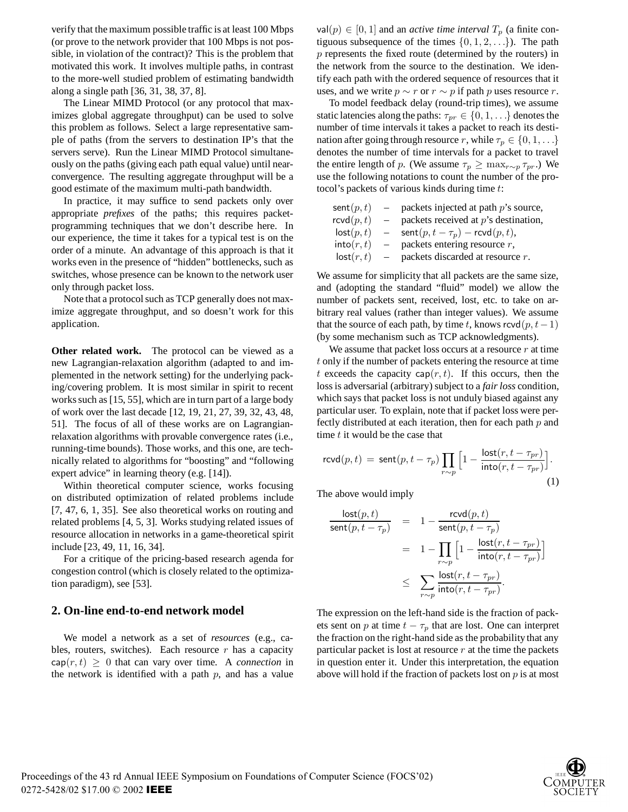verify that the maximum possible traffic is at least 100 Mbps (or prove to the network provider that 100 Mbps is not possible, in violation of the contract)? This is the problem that motivated this work. It involves multiple paths, in contrast to the more-well studied problem of estimating bandwidth along a single path [36, 31, 38, 37, 8].

The Linear MIMD Protocol (or any protocol that maximizes global aggregate throughput) can be used to solve this problem as follows. Select a large representative sample of paths (from the servers to destination IP's that the servers serve). Run the Linear MIMD Protocol simultaneously on the paths (giving each path equal value) until nearconvergence. The resulting aggregate throughput will be a good estimate of the maximum multi-path bandwidth.

In practice, it may suffice to send packets only over appropriate *prefixes* of the paths; this requires packetprogramming techniques that we don't describe here. In our experience, the time it takes for a typical test is on the order of a minute. An advantage of this approach is that it works even in the presence of "hidden" bottlenecks, such as switches, whose presence can be known to the network user only through packet loss.

Note that a protocol such as TCP generally does not maximize aggregate throughput, and so doesn't work for this application.

**Other related work.** The protocol can be viewed as a new Lagrangian-relaxation algorithm (adapted to and implemented in the network setting) for the underlying packing/covering problem. It is most similar in spirit to recent works such as [15, 55], which are in turn part of a large body of work over the last decade [12, 19, 21, 27, 39, 32, 43, 48, 51]. The focus of all of these works are on Lagrangianrelaxation algorithms with provable convergence rates (i.e., running-time bounds). Those works, and this one, are technically related to algorithms for "boosting" and "following expert advice" in learning theory (e.g. [14]).

Within theoretical computer science, works focusing on distributed optimization of related problems include [7, 47, 6, 1, 35]. See also theoretical works on routing and related problems [4, 5, 3]. Works studying related issues of resource allocation in networks in a game-theoretical spirit include [23, 49, 11, 16, 34].

For a critique of the pricing-based research agenda for congestion control (which is closely related to the optimization paradigm), see [53].

### **2. On-line end-to-end network model**

We model a network as a set of *resources* (e.g., cables, routers, switches). Each resource  $r$  has a capacity  $cap(r, t) \geq 0$  that can vary over time. A *connection* in the network is identified with a path  $p$ , and has a value  $val(p) \in [0, 1]$  and an *active time interval*  $T_p$  (a finite contiguous subsequence of the times  $\{0, 1, 2, ...\}$ ). The path p represents the fixed route (determined by the routers) in the network from the source to the destination. We identify each path with the ordered sequence of resources that it uses, and we write  $p \sim r$  or  $r \sim p$  if path p uses resource r.

To model feedback delay (round-trip times), we assume static latencies along the paths:  $\tau_{pr} \in \{0, 1, \ldots\}$  denotes the number of time intervals it takes a packet to reach its destination after going through resource r, while  $\tau_p \in \{0, 1, \ldots\}$ denotes the number of time intervals for a packet to travel the entire length of p. (We assume  $\tau_p \ge \max_{r \sim p} \tau_{pr}$ .) We use the following notations to count the number of the protocol's packets of various kinds during time t:

| $\mathsf{sent}(p, t)$ | $\equiv$                 | packets injected at path $p$ 's source,           |
|-----------------------|--------------------------|---------------------------------------------------|
| $\mathsf{rcvd}(p,t)$  | $\overline{\phantom{m}}$ | packets received at $p$ 's destination,           |
| lost(p, t)            | $\overline{\phantom{m}}$ | $\text{sent}(p, t - \tau_p) - \text{rcvd}(p, t),$ |
| into(r, t)            | $\overline{\phantom{m}}$ | packets entering resource $r$ ,                   |
| lost(r, t)            | $\overline{\phantom{m}}$ | packets discarded at resource r.                  |

We assume for simplicity that all packets are the same size, and (adopting the standard "fluid" model) we allow the number of packets sent, received, lost, etc. to take on arbitrary real values (rather than integer values). We assume that the source of each path, by time t, knows rcvd $(p, t-1)$ (by some mechanism such as TCP acknowledgments).

We assume that packet loss occurs at a resource  $r$  at time t only if the number of packets entering the resource at time t exceeds the capacity cap $(r, t)$ . If this occurs, then the loss is adversarial (arbitrary) subject to a *fair loss* condition, which says that packet loss is not unduly biased against any particular user. To explain, note that if packet loss were perfectly distributed at each iteration, then for each path  $p$  and time  $t$  it would be the case that

$$
rcvd(p, t) = sent(p, t - \tau_p) \prod_{r \sim p} \left[ 1 - \frac{\text{lost}(r, t - \tau_{pr})}{\text{into}(r, t - \tau_{pr})} \right].
$$
\n(1)

The above would imply

$$
\frac{\text{lost}(p, t)}{\text{sent}(p, t - \tau_p)} = 1 - \frac{\text{rcvd}(p, t)}{\text{sent}(p, t - \tau_p)} \n= 1 - \prod_{r \sim p} \left[ 1 - \frac{\text{lost}(r, t - \tau_{pr})}{\text{into}(r, t - \tau_{pr})} \right] \n\le \sum_{r \sim p} \frac{\text{lost}(r, t - \tau_{pr})}{\text{into}(r, t - \tau_{pr})}.
$$

The expression on the left-hand side is the fraction of packets sent on p at time  $t - \tau_p$  that are lost. One can interpret the fraction on the right-hand side as the probabilitythat any particular packet is lost at resource  $r$  at the time the packets in question enter it. Under this interpretation, the equation above will hold if the fraction of packets lost on  $p$  is at most

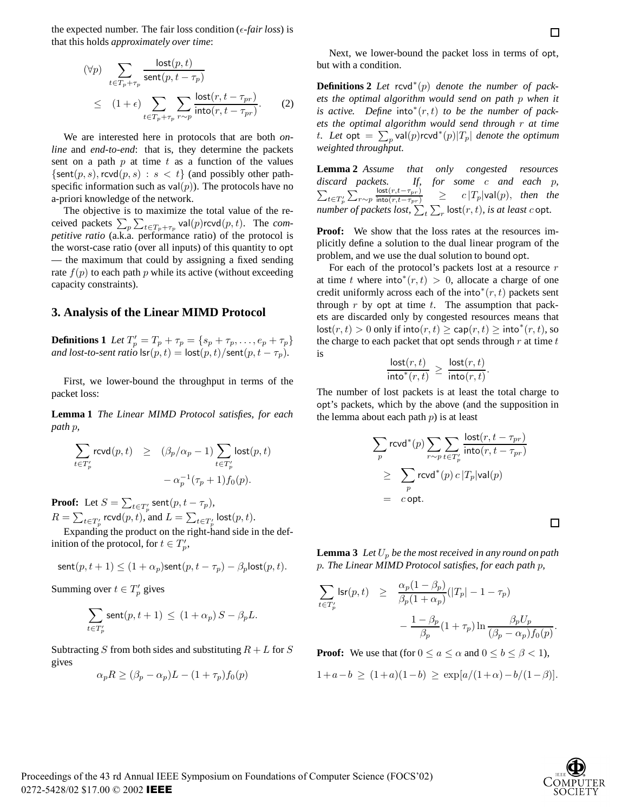the expected number. The fair loss condition  $(e$ -fair loss) is that this holds *approximately over time*:

$$
(\forall p) \sum_{t \in T_p + \tau_p} \frac{\text{lost}(p, t)}{\text{sent}(p, t - \tau_p)} \leq (1 + \epsilon) \sum_{t \in T_p + \tau_p} \sum_{r \sim p} \frac{\text{lost}(r, t - \tau_{pr})}{\text{into}(r, t - \tau_{pr})}.
$$
 (2)

We are interested here in protocols that are both *online* and *end-to-end*: that is, they determine the packets sent on a path  $p$  at time  $t$  as a function of the values {sent $(p, s)$ , rcvd $(p, s)$ :  $s < t$ } (and possibly other pathspecific information such as  $val(p)$ ). The protocols have no a-priori knowledge of the network.

The objective is to maximize the total value of the received packets  $\sum_{p} \sum_{t \in T_p + \tau_p}$  val $(p)$ rcvd $(p, t)$ . The *competitive ratio* (a.k.a. performance ratio) of the protocol is the worst-case ratio (over all inputs) of this quantity to opt — the maximum that could by assigning a fixed sending rate  $f(p)$  to each path p while its active (without exceeding capacity constraints).

#### **3. Analysis of the Linear MIMD Protocol**

**Definitions 1** *Let*  $T_p' = T_p + \tau_p = \{s_p + \tau_p, \ldots, e_p + \tau_p\}$ *and lost-to-sent ratio*  $\mathsf{lsr}(p,t) = \mathsf{lost}(p,t)/\mathsf{sent}(p,t-\tau_p).$ 

First, we lower-bound the throughput in terms of the packet loss:

**Lemma 1** *The Linear MIMD Protocol satisfies, for each path* p*,*

$$
\begin{array}{lcl} \displaystyle \sum_{t\in T'_p} \mathrm{rcvd}(p,t) & \geq & \displaystyle (\beta_p/\alpha_p-1) \sum_{t\in T'_p} \mathrm{lost}(p,t) \\ & & \\ & & \displaystyle -\alpha_p^{-1}(\tau_p+1) f_0(p). \end{array}
$$

**Proof:** Let  $S = \sum_{t \in T_p'} \mathsf{sent}(p, t - \tau_p),$  $R = \sum_{t \in T_p'} \mathsf{rcvd}(p, t)$ , and  $L = \sum_{t \in T_p'} \mathsf{lost}(p, t)$ .

Expanding the product on the right-hand side in the definition of the protocol, for  $t \in T_p'$ ,

$$
\textsf{sent}(p, t+1) \leq (1+\alpha_p)\textsf{sent}(p, t-\tau_p) - \beta_p \textsf{lost}(p, t).
$$

Summing over  $t \in T_p'$  gives

$$
\sum_{t\in T'_p} \mathrm{sent}(p,t+1) \, \leq \, (1+\alpha_p)\, S - \beta_p L.
$$

Subtracting S from both sides and substituting  $R + L$  for S gives

$$
\alpha_p R \ge (\beta_p - \alpha_p)L - (1 + \tau_p)f_0(p)
$$

Next, we lower-bound the packet loss in terms of opt, but with a condition.

**Definitions 2** *Let* rcvd<sup>\*</sup>(p) *denote the number of packets the optimal algorithm would send on path* p *when it is active.* Define  $into^*(r,t)$  to be the number of pack*ets the optimal algorithm would send through* r *at time* t. Let opt =  $\sum_{p}$  val(p)rcvd<sup>\*</sup>(p)|T<sub>p</sub>| denote the optimum *weighted throughput.*

**Lemma 2** *Assume that only congested resources discard packets. If, for some* c *and each* p*,*  $\sum_{t \in T'_p} \sum_{r \sim p}^{\text{lost}(r,t-\tau_{pr})} \sum_{\text{into}(r,t-\tau_{pr})}^{\text{lost}(r,t-\tau_{pr})} \geq c |T_p|\text{val}(p)$ , then the number of packets lost,  $\sum_t\sum_r \mathsf{lost}(r,t)$ , is at least  $c$  opt.

**Proof:** We show that the loss rates at the resources implicitly define a solution to the dual linear program of the problem, and we use the dual solution to bound opt.

For each of the protocol's packets lost at a resource  $r$ at time t where  $\text{into}^*(r, t) > 0$ , allocate a charge of one credit uniformly across each of the into\* $(r, t)$  packets sent through  $r$  by opt at time  $t$ . The assumption that packets are discarded only by congested resources means that  $\textsf{lost}(r, t) > 0$  only if  $\textsf{into}(r, t) \geq \textsf{cap}(r, t) \geq \textsf{into}^*(r, t)$ , so the charge to each packet that opt sends through  $r$  at time  $t$ is

$$
\frac{\mathsf{lost}(r,t)}{\mathsf{into}^*(r,t)} \ge \frac{\mathsf{lost}(r,t)}{\mathsf{into}(r,t)}.
$$

The number of lost packets is at least the total charge to opt's packets, which by the above (and the supposition in the lemma about each path  $p$ ) is at least

$$
\sum_{p} \text{rcvd}^{*}(p) \sum_{r \sim p} \sum_{t \in T'_{p}} \frac{\text{lost}(r, t - \tau_{pr})}{\text{into}(r, t - \tau_{pr})}
$$
\n
$$
\geq \sum_{p} \text{rcvd}^{*}(p) c |T_{p}| \text{val}(p)
$$
\n
$$
= c \text{opt.}
$$

**Lemma 3** Let  $U_p$  be the most received in any round on path p*. The Linear MIMD Protocol satisfies, for each path* p*,*

$$
\begin{array}{lcl} \displaystyle \sum_{t\in T'_p} \mathrm{lsr}(p,t) & \geq & \displaystyle \frac{\alpha_p(1-\beta_p)}{\beta_p(1+\alpha_p)}(|T_p|-1-\tau_p) \\ \\ & & \displaystyle -\frac{1-\beta_p}{\beta_p}(1+\tau_p)\ln\frac{\beta_p U_p}{(\beta_p-\alpha_p)f_0(p)}. \end{array}
$$

**Proof:** We use that (for  $0 \le a \le \alpha$  and  $0 \le b \le \beta < 1$ ),

$$
1 + a - b \ge (1 + a)(1 - b) \ge \exp[a/(1 + \alpha) - b/(1 - \beta)].
$$



 $\Box$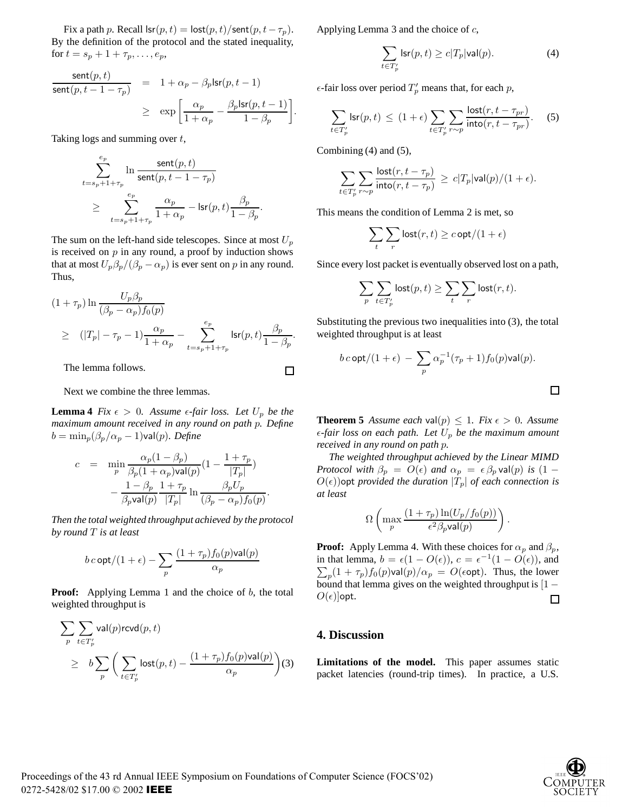Fix a path p. Recall  $\text{lsr}(p, t) = \text{lost}(p, t) / \text{sent}(p, t - \tau_p)$ . By the definition of the protocol and the stated inequality, for  $t = s_p + 1 + \tau_p, \ldots, e_p$ ,

$$
\frac{\operatorname{sent}(p, t)}{\operatorname{sent}(p, t - 1 - \tau_p)} = 1 + \alpha_p - \beta_p \operatorname{lsr}(p, t - 1)
$$

$$
\geq \exp\left[\frac{\alpha_p}{1 + \alpha_p} - \frac{\beta_p \operatorname{lsr}(p, t - 1)}{1 - \beta_p}\right].
$$

Taking logs and summing over  $t$ ,

$$
\begin{aligned} \sum_{t=s_p+1+\tau_p}^{e_p}\ln\frac{\text{sent}(p,t)}{\text{sent}(p,t-1-\tau_p)}\\ \geq \sum_{t=s_p+1+\tau_p}^{e_p}\frac{\alpha_p}{1+\alpha_p}-\text{lsr}(p,t)\frac{\beta_p}{1-\beta_p}. \end{aligned}
$$

The sum on the left-hand side telescopes. Since at most  $U_p$ is received on  $p$  in any round, a proof by induction shows that at most  $U_p \beta_p/(\beta_p - \alpha_p)$  is ever sent on p in any round. Thus,

$$
(1 + \tau_p) \ln \frac{U_p \beta_p}{(\beta_p - \alpha_p) f_0(p)}
$$
  
\n
$$
\geq (|T_p| - \tau_p - 1) \frac{\alpha_p}{1 + \alpha_p} - \sum_{t = s_p + 1 + \tau_p}^{e_p} \text{lsr}(p, t) \frac{\beta_p}{1 - \beta_p}.
$$

The lemma follows.

Next we combine the three lemmas.

**Lemma 4** *Fix*  $\epsilon > 0$ *. Assume*  $\epsilon$ -*fair loss. Let*  $U_p$  *be the maximum amount received in any round on path* p*. Define*  $b = \min_p(\beta_p/\alpha_p - 1)$ val(p). Define

$$
c = \min_{p} \frac{\alpha_p (1 - \beta_p)}{\beta_p (1 + \alpha_p) \text{val}(p)} (1 - \frac{1 + \tau_p}{|T_p|})
$$

$$
- \frac{1 - \beta_p}{\beta_p \text{val}(p)} \frac{1 + \tau_p}{|T_p|} \ln \frac{\beta_p U_p}{(\beta_p - \alpha_p) f_0(p)}.
$$

*Then the total weighted throughput achieved by the protocol by round* T *is at least*

$$
b \, c \, \mathsf{opt} / (1+\epsilon) - \sum_{p} \frac{(1+\tau_p) f_0(p) \mathsf{val}(p)}{\alpha_p}
$$

**Proof:** Applying Lemma 1 and the choice of b, the total weighted throughput is

$$
\begin{aligned} &\sum_p \sum_{t \in T'_p} \mathrm{val}(p) \mathrm{rcvd}(p,t) \\ &\geq \;\; b \sum_p \bigg( \sum_{t \in T'_p} \mathrm{lost}(p,t) - \frac{(1+\tau_p) f_0(p) \mathrm{val}(p)}{\alpha_p} \bigg) \end{aligned} \bigg) \leqslant
$$

Applying Lemma 3 and the choice of c,

$$
\sum_{t \in T'_p} \text{lsr}(p, t) \ge c |T_p| \text{val}(p). \tag{4}
$$

 $\epsilon$ -fair loss over period  $T_p'$  means that, for each p,

$$
\sum_{t \in T'_p} \mathsf{lsr}(p, t) \le (1 + \epsilon) \sum_{t \in T'_p} \sum_{r \sim p} \frac{\mathsf{lost}(r, t - \tau_{pr})}{\mathsf{into}(r, t - \tau_{pr})}.
$$
 (5)

Combining (4) and (5),

$$
\sum_{t \in T'_p} \sum_{r \sim p} \frac{\text{lost}(r, t - \tau_p)}{\text{into}(r, t - \tau_p)} \ \geq \ c|T_p|\text{val}(p)/(1 + \epsilon).
$$

This means the condition of Lemma 2 is met, so

$$
\sum_t \sum_r \text{lost}(r,t) \geq c \,\text{opt}/(1+\epsilon)
$$

Since every lost packet is eventually observed lost on a path,

$$
\sum_p \sum_{t \in T'_p} \text{lost}(p,t) \geq \sum_t \sum_r \text{lost}(r,t).
$$

Substituting the previous two inequalities into (3), the total weighted throughput is at least

$$
b \cot/(1+\epsilon) - \sum_{p} \alpha_p^{-1} (\tau_p + 1) f_0(p) \text{val}(p).
$$

**Theorem 5** *Assume each* val $(p) \leq 1$ *. Fix*  $\epsilon > 0$ *. Assume*  $\epsilon$ -fair loss on each path. Let  $U_p$  be the maximum amount *received in any round on path* p*.*

*The weighted throughput achieved by the Linear MIMD Protocol with*  $\beta_p = O(\epsilon)$  *and*  $\alpha_p = \epsilon \beta_p$  val(p) *is* (1 −  $O(\epsilon)$ )opt *provided the duration*  $|T_p|$  *of each connection is at least*

$$
\Omega\left(\max_{p} \frac{(1+\tau_p)\ln(U_p/f_0(p))}{\epsilon^2\beta_p \text{val}(p)}\right)
$$

.

**Proof:** Apply Lemma 4. With these choices for  $\alpha_p$  and  $\beta_p$ , in that lemma,  $b = \epsilon (1 - O(\epsilon))$ ,  $c = \epsilon^{-1}(1 - O(\epsilon))$ , and  $\sum_{p}(1+\tau_{p})f_{0}(p)$ val $(p)/\alpha_{p} = O(\epsilon$ opt). Thus, the lower bound that lemma gives on the weighted throughput is  $[1 O(\epsilon)$ ]opt.  $\Box$ 

#### **4. Discussion**

 $\Box$ 

**Limitations of the model.** This paper assumes static packet latencies (round-trip times). In practice, a U.S.

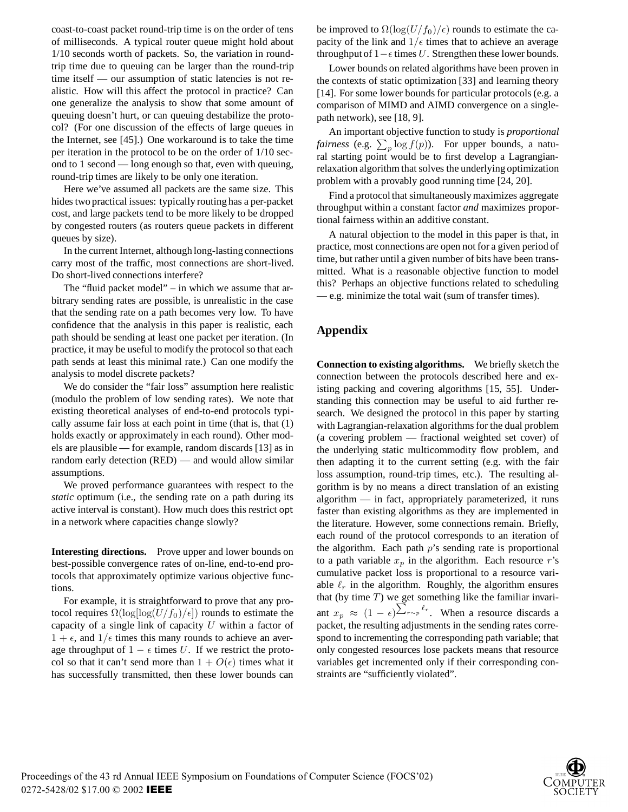coast-to-coast packet round-trip time is on the order of tens of milliseconds. A typical router queue might hold about 1/10 seconds worth of packets. So, the variation in roundtrip time due to queuing can be larger than the round-trip time itself — our assumption of static latencies is not realistic. How will this affect the protocol in practice? Can one generalize the analysis to show that some amount of queuing doesn't hurt, or can queuing destabilize the protocol? (For one discussion of the effects of large queues in the Internet, see [45].) One workaround is to take the time per iteration in the protocol to be on the order of 1/10 second to 1 second — long enough so that, even with queuing, round-trip times are likely to be only one iteration.

Here we've assumed all packets are the same size. This hides two practical issues: typically routing has a per-packet cost, and large packets tend to be more likely to be dropped by congested routers (as routers queue packets in different queues by size).

In the current Internet, although long-lasting connections carry most of the traffic, most connections are short-lived. Do short-lived connections interfere?

The "fluid packet model" – in which we assume that arbitrary sending rates are possible, is unrealistic in the case that the sending rate on a path becomes very low. To have confidence that the analysis in this paper is realistic, each path should be sending at least one packet per iteration. (In practice, it may be useful to modify the protocol so that each path sends at least this minimal rate.) Can one modify the analysis to model discrete packets?

We do consider the "fair loss" assumption here realistic (modulo the problem of low sending rates). We note that existing theoretical analyses of end-to-end protocols typically assume fair loss at each point in time (that is, that (1) holds exactly or approximately in each round). Other models are plausible — for example, random discards [13] as in random early detection (RED) — and would allow similar assumptions.

We proved performance guarantees with respect to the *static* optimum (i.e., the sending rate on a path during its active interval is constant). How much does this restrict opt in a network where capacities change slowly?

**Interesting directions.** Prove upper and lower bounds on best-possible convergence rates of on-line, end-to-end protocols that approximately optimize various objective functions.

For example, it is straightforward to prove that any protocol requires  $\Omega(\log[\log(U/f_0)/\epsilon])$  rounds to estimate the capacity of a single link of capacity  $U$  within a factor of  $1 + \epsilon$ , and  $1/\epsilon$  times this many rounds to achieve an average throughput of  $1 - \epsilon$  times U. If we restrict the protocol so that it can't send more than  $1 + O(\epsilon)$  times what it has successfully transmitted, then these lower bounds can

be improved to  $\Omega(\log(U/f_0)/\epsilon)$  rounds to estimate the capacity of the link and  $1/\epsilon$  times that to achieve an average throughput of  $1-\epsilon$  times U. Strengthen these lower bounds.

Lower bounds on related algorithms have been proven in the contexts of static optimization [33] and learning theory [14]. For some lower bounds for particular protocols (e.g. a comparison of MIMD and AIMD convergence on a singlepath network), see [18, 9].

An important objective function to study is *proportional fairness* (e.g.  $\sum_{p} \log f(p)$ ). For upper bounds, a natural starting point would be to first develop a Lagrangianrelaxation algorithm that solves the underlying optimization problem with a provably good running time [24, 20].

Find a protocol that simultaneously maximizes aggregate throughput within a constant factor *and* maximizes proportional fairness within an additive constant.

A natural objection to the model in this paper is that, in practice, most connections are open not for a given period of time, but rather until a given number of bits have been transmitted. What is a reasonable objective function to model this? Perhaps an objective functions related to scheduling — e.g. minimize the total wait (sum of transfer times).

## **Appendix**

**Connection to existing algorithms.** We briefly sketch the connection between the protocols described here and existing packing and covering algorithms [15, 55]. Understanding this connection may be useful to aid further research. We designed the protocol in this paper by starting with Lagrangian-relaxation algorithms for the dual problem (a covering problem — fractional weighted set cover) of the underlying static multicommodity flow problem, and then adapting it to the current setting (e.g. with the fair loss assumption, round-trip times, etc.). The resulting algorithm is by no means a direct translation of an existing algorithm — in fact, appropriately parameterized, it runs faster than existing algorithms as they are implemented in the literature. However, some connections remain. Briefly, each round of the protocol corresponds to an iteration of the algorithm. Each path  $p$ 's sending rate is proportional to a path variable  $x_p$  in the algorithm. Each resource r's cumulative packet loss is proportional to a resource variable  $\ell_r$  in the algorithm. Roughly, the algorithm ensures that (by time  $T$ ) we get something like the familiar invariant  $x_p \approx (1 - \epsilon)^{\sum_{r \sim p} \ell_r}$ . When a resource discards a packet, the resulting adjustments in the sending rates correspond to incrementing the corresponding path variable; that only congested resources lose packets means that resource variables get incremented only if their corresponding constraints are "sufficiently violated".



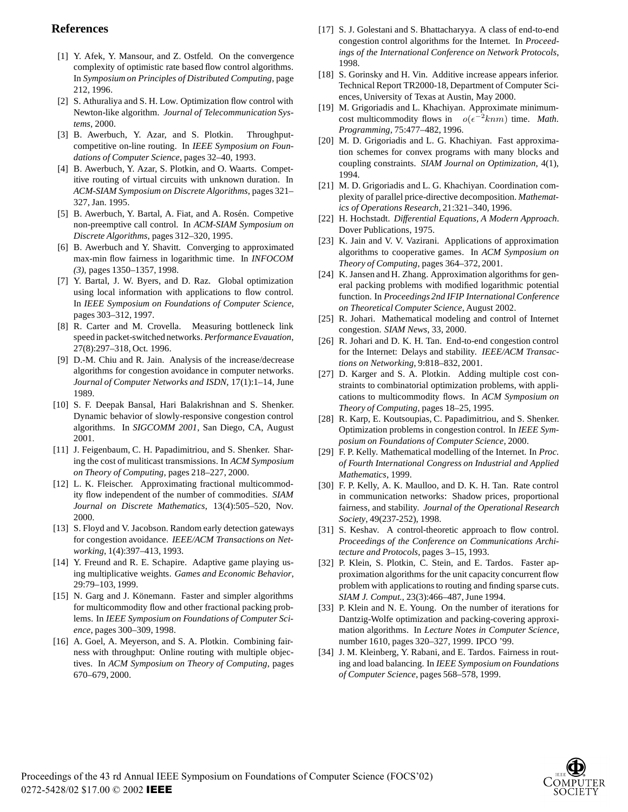# **References**

- [1] Y. Afek, Y. Mansour, and Z. Ostfeld. On the convergence complexity of optimistic rate based flow control algorithms. In *Symposium on Principles of Distributed Computing*, page 212, 1996.
- [2] S. Athuraliya and S. H. Low. Optimization flow control with Newton-like algorithm. *Journal of Telecommunication Systems*, 2000.
- [3] B. Awerbuch, Y. Azar, and S. Plotkin. Throughputcompetitive on-line routing. In *IEEE Symposium on Foundations of Computer Science*, pages 32–40, 1993.
- [4] B. Awerbuch, Y. Azar, S. Plotkin, and O. Waarts. Competitive routing of virtual circuits with unknown duration. In *ACM-SIAM Symposium on Discrete Algorithms*, pages 321– 327, Jan. 1995.
- [5] B. Awerbuch, Y. Bartal, A. Fiat, and A. Rosén. Competive non-preemptive call control. In *ACM-SIAM Symposium on Discrete Algorithms*, pages 312–320, 1995.
- [6] B. Awerbuch and Y. Shavitt. Converging to approximated max-min flow fairness in logarithmic time. In *INFOCOM (3)*, pages 1350–1357, 1998.
- [7] Y. Bartal, J. W. Byers, and D. Raz. Global optimization using local information with applications to flow control. In *IEEE Symposium on Foundations of Computer Science*, pages 303–312, 1997.
- [8] R. Carter and M. Crovella. Measuring bottleneck link speed in packet-switched networks. Performance Evauation, 27(8):297–318, Oct. 1996.
- [9] D.-M. Chiu and R. Jain. Analysis of the increase/decrease algorithms for congestion avoidance in computer networks. *Journal of Computer Networks and ISDN*, 17(1):1–14, June 1989.
- [10] S. F. Deepak Bansal, Hari Balakrishnan and S. Shenker. Dynamic behavior of slowly-responsive congestion control algorithms. In *SIGCOMM 2001*, San Diego, CA, August 2001.
- [11] J. Feigenbaum, C. H. Papadimitriou, and S. Shenker. Sharing the cost of muliticast transmissions. In *ACM Symposium on Theory of Computing*, pages 218–227, 2000.
- [12] L. K. Fleischer. Approximating fractional multicommodity flow independent of the number of commodities. *SIAM Journal on Discrete Mathematics*, 13(4):505–520, Nov. 2000.
- [13] S. Floyd and V. Jacobson. Random early detection gateways for congestion avoidance. *IEEE/ACM Transactions on Networking*, 1(4):397–413, 1993.
- [14] Y. Freund and R. E. Schapire. Adaptive game playing using multiplicative weights. *Games and Economic Behavior*, 29:79–103, 1999.
- [15] N. Garg and J. Könemann. Faster and simpler algorithms for multicommodity flow and other fractional packing problems. In *IEEE Symposium on Foundations of Computer Science*, pages 300–309, 1998.
- [16] A. Goel, A. Meyerson, and S. A. Plotkin. Combining fairness with throughput: Online routing with multiple objectives. In *ACM Symposium on Theory of Computing*, pages 670–679, 2000.
- [17] S. J. Golestani and S. Bhattacharyya. A class of end-to-end congestion control algorithms for the Internet. In *Proceedings of the International Conference on Network Protocols*, 1998.
- [18] S. Gorinsky and H. Vin. Additive increase appears inferior. Technical Report TR2000-18, Department of Computer Sciences, University of Texas at Austin, May 2000.
- [19] M. Grigoriadis and L. Khachiyan. Approximate minimumcost multicommodity flows in  $o(\epsilon^{-2}knm)$  time. *Math. Programming*, 75:477–482, 1996.
- [20] M. D. Grigoriadis and L. G. Khachiyan. Fast approximation schemes for convex programs with many blocks and coupling constraints. *SIAM Journal on Optimization*, 4(1), 1994.
- [21] M. D. Grigoriadis and L. G. Khachiyan. Coordination complexity of parallel price-directive decomposition. *Mathematics of Operations Research*, 21:321–340, 1996.
- [22] H. Hochstadt. *Differential Equations, A Modern Approach*. Dover Publications, 1975.
- [23] K. Jain and V. V. Vazirani. Applications of approximation algorithms to cooperative games. In *ACM Symposium on Theory of Computing*, pages 364–372, 2001.
- [24] K. Jansen and H. Zhang. Approximation algorithms for general packing problems with modified logarithmic potential function. In *Proceedings 2nd IFIP International Conference on Theoretical Computer Science*, August 2002.
- [25] R. Johari. Mathematical modeling and control of Internet congestion. *SIAM News*, 33, 2000.
- [26] R. Johari and D. K. H. Tan. End-to-end congestion control for the Internet: Delays and stability. *IEEE/ACM Transactions on Networking*, 9:818–832, 2001.
- [27] D. Karger and S. A. Plotkin. Adding multiple cost constraints to combinatorial optimization problems, with applications to multicommodity flows. In *ACM Symposium on Theory of Computing*, pages 18–25, 1995.
- [28] R. Karp, E. Koutsoupias, C. Papadimitriou, and S. Shenker. Optimization problems in congestion control. In *IEEE Symposium on Foundations of Computer Science*, 2000.
- [29] F. P. Kelly. Mathematical modelling of the Internet. In *Proc. of Fourth International Congress on Industrial and Applied Mathematics*, 1999.
- [30] F. P. Kelly, A. K. Maulloo, and D. K. H. Tan. Rate control in communication networks: Shadow prices, proportional fairness, and stability. *Journal of the Operational Research Society*, 49(237-252), 1998.
- [31] S. Keshav. A control-theoretic approach to flow control. *Proceedings of the Conference on Communications Architecture and Protocols*, pages 3–15, 1993.
- [32] P. Klein, S. Plotkin, C. Stein, and E. Tardos. Faster approximation algorithms for the unit capacity concurrent flow problem with applications to routing and finding sparse cuts. *SIAM J. Comput.*, 23(3):466–487, June 1994.
- [33] P. Klein and N. E. Young. On the number of iterations for Dantzig-Wolfe optimization and packing-covering approximation algorithms. In *Lecture Notes in Computer Science*, number 1610, pages 320–327, 1999. IPCO '99.
- [34] J. M. Kleinberg, Y. Rabani, and E. Tardos. Fairness in routing and load balancing. In *IEEE Symposium on Foundations of Computer Science*, pages 568–578, 1999.